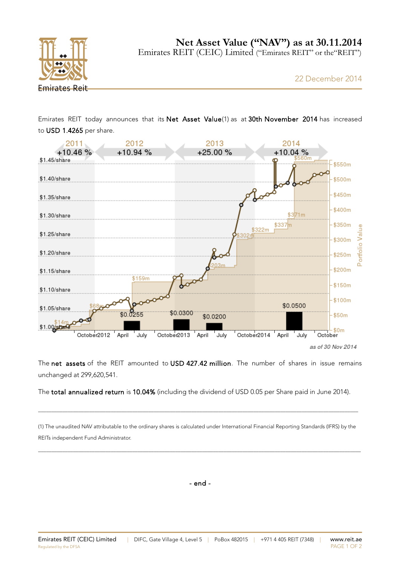

Emirates REIT (CEIC) Limited ("Emirates REIT" or the"REIT")

Emirates REIT today announces that its Net Asset Value(1) as at 30th November 2014 has increased to USD 1.4265 per share.



The net assets of the REIT amounted to USD 427.42 million. The number of shares in issue remains unchanged at 299,620,541.

The total annualized return is 10.04% (including the dividend of USD 0.05 per Share paid in June 2014).

(1) The unaudited NAV attributable to the ordinary shares is calculated under International Financial Reporting Standards (IFRS) by the REITs independent Fund Administrator.

\_\_\_\_\_\_\_\_\_\_\_\_\_\_\_\_\_\_\_\_\_\_\_\_\_\_\_\_\_\_\_\_\_\_\_\_\_\_\_\_\_\_\_\_\_\_\_\_\_\_\_\_\_\_\_\_\_\_\_\_\_\_\_\_\_\_\_\_\_\_\_\_\_\_\_\_\_\_\_\_\_\_\_\_\_\_\_\_\_\_\_\_\_\_\_\_\_\_\_\_\_\_\_\_\_\_\_\_\_\_\_\_\_\_\_\_\_\_\_\_

\_\_\_\_\_\_\_\_\_\_\_\_\_\_\_\_\_\_\_\_\_\_\_\_\_\_\_\_\_\_\_\_\_\_\_\_\_\_\_\_\_\_\_\_\_\_\_\_\_\_\_\_\_\_\_\_\_\_\_\_\_\_\_\_\_\_\_\_\_\_\_\_\_\_\_\_\_\_\_\_\_\_\_\_\_\_\_\_\_\_\_\_\_\_\_\_\_\_\_\_\_\_\_\_\_\_\_\_\_\_\_\_\_\_\_\_\_\_\_

- end -